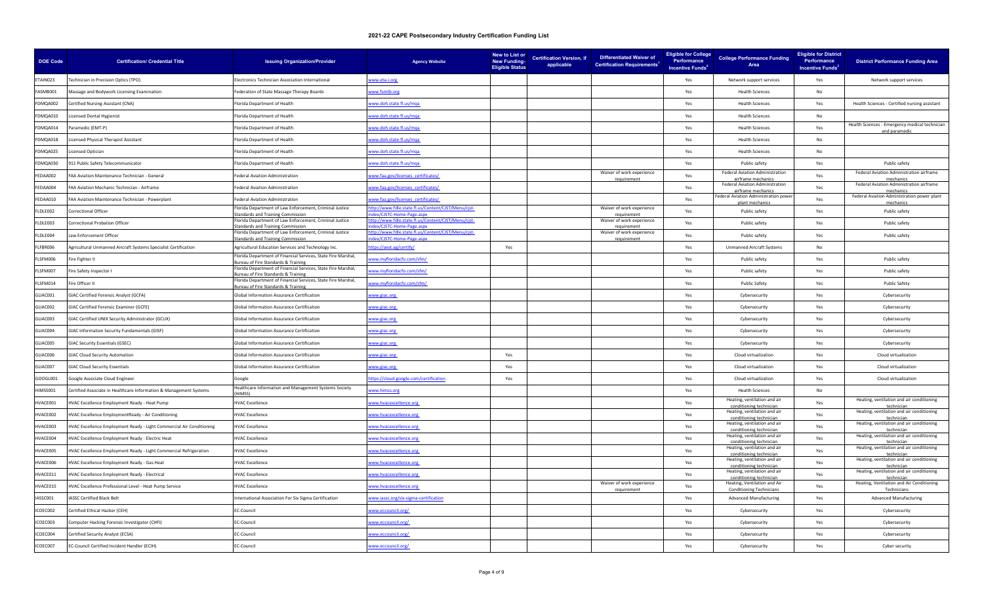| <b>DOE Code</b> | <b>Certification/ Credential Title</b>                               | <b>Issuing Organization/Provider</b>                                                                           | <b>Agency Website</b>                                                           | New to List or<br><b>Certification Version, if</b><br><b>New Funding-</b><br>applicable<br><b>Eligible Status</b> | <b>Differentiated Waiver of</b><br><b>Certification Requirements<sup>1</sup></b> | <b>Eligible for College</b><br>Performance<br>Incentive Funds <sup>2</sup> | <b>College Performance Funding</b><br>Area                      | <b>Eligible for District</b><br>Performance<br>Incentive Funds <sup>3</sup> | <b>District Performance Funding Area</b>                        |
|-----------------|----------------------------------------------------------------------|----------------------------------------------------------------------------------------------------------------|---------------------------------------------------------------------------------|-------------------------------------------------------------------------------------------------------------------|----------------------------------------------------------------------------------|----------------------------------------------------------------------------|-----------------------------------------------------------------|-----------------------------------------------------------------------------|-----------------------------------------------------------------|
| <b>TAIN023</b>  | Technician in Precision Optics (TPO)                                 | Electronics Technician Association International                                                               | ww.eta-i.org                                                                    |                                                                                                                   |                                                                                  | Yes                                                                        | Network support services                                        | Yes                                                                         | Network support services                                        |
| ASMB001         | Massage and Bodywork Licensing Examination                           | ederation of State Massage Therapy Boards                                                                      | ww.fsmtb.org                                                                    |                                                                                                                   |                                                                                  | Yes                                                                        | <b>Health Sciences</b>                                          | No                                                                          |                                                                 |
| DMQA002         | Certified Nursing Assistant (CNA)                                    | Florida Department of Health                                                                                   | ww.doh.state.fl.us/mqa                                                          |                                                                                                                   |                                                                                  | Yes                                                                        | <b>Health Sciences</b>                                          | Yes                                                                         | Health Sciences - Certified nursing assistant                   |
| DMQA010         | Licensed Dental Hygienist                                            | Florida Denartment of Health                                                                                   | ww.doh.state.fl.us/mga                                                          |                                                                                                                   |                                                                                  | Yes                                                                        | <b>Health Sciences</b>                                          | <b>No</b>                                                                   |                                                                 |
| DMQA014         | Paramedic (EMT-P)                                                    | Florida Department of Health                                                                                   | ww.doh.state.fl.us/mqa                                                          |                                                                                                                   |                                                                                  | Yes                                                                        | <b>Health Sciences</b>                                          | Yes                                                                         | Health Sciences - Emergency medical technician<br>and paramedic |
| DMQA018         | icensed Physical Therapist Assistant                                 | Florida Department of Health                                                                                   | ww.doh.state.fl.us/mqa                                                          |                                                                                                                   |                                                                                  | Yes                                                                        | <b>Health Sciences</b>                                          | No                                                                          |                                                                 |
| DMQA025         | icensed Optician                                                     | Florida Department of Health                                                                                   | ww.doh.state.fl.us/mqa                                                          |                                                                                                                   |                                                                                  | Yes                                                                        | <b>Health Sciences</b>                                          | No                                                                          |                                                                 |
| DMQA030         | 911 Public Safety Telecommunicator                                   | Florida Department of Health                                                                                   | ww.doh.state.fl.us/mqa                                                          |                                                                                                                   |                                                                                  | Yes                                                                        | Public safety                                                   | Yes                                                                         | Public safety                                                   |
| EDAA002         | FAA Aviation Maintenance Technician - General                        | ederal Aviation Administration                                                                                 | ww.faa.gov/licenses_certificates/                                               |                                                                                                                   | Waiver of work experience<br>requiremen                                          | Yes                                                                        | Federal Aviation Administration<br>airframe mechanic            | Yes                                                                         | Federal Aviation Administration airframe<br>mechanics           |
| EDAA004         | FAA Aviation Mechanic Technician - Airframe                          | <b>Federal Aviation Administration</b>                                                                         | ww.faa.gov/licenses_certificates/                                               |                                                                                                                   |                                                                                  | Yes                                                                        | Federal Aviation Administration<br>airframe mechanics           | Yes                                                                         | Federal Aviation Administration airframe<br>mechanics           |
| EDAA010         | FAA Aviation Maintenance Technician - Powerplant                     | Federal Aviation Administration                                                                                | ww.faa.gov/licenses_certificates/                                               |                                                                                                                   |                                                                                  | Yes                                                                        | Federal Aviation Administration power<br>plant mechanics        | Yes                                                                         | Federal Aviation Administration power plant<br>mechanics        |
| LDLE002         | Correctional Officer                                                 | Florida Department of Law Enforcement, Criminal Justice<br>tandards and Training Commission                    | http://www.fdle.state.fl.us/Content/CJST/Menu/cjst-<br>lex/CJSTC-Home-Page.aspx |                                                                                                                   | Waiver of work experience<br>requirement                                         | Yes                                                                        | Public safety                                                   | Yes                                                                         | Public safety                                                   |
| LDLE003         | Correctional Probation Officer                                       | Florida Department of Law Enforcement, Criminal Justice<br>tandards and Training Commission                    | tp://www.fdle.state.fl.us/Content/CJST/Menu/cjst-<br>ex/CJSTC-Home-Page.aspx    |                                                                                                                   | Waiver of work experience<br>requirement                                         | Yes                                                                        | Public safety                                                   | Yes                                                                         | Public safety                                                   |
| LDLE004         | Law Enforcement Officer                                              | Florida Department of Law Enforcement, Criminal Justice<br>tandards and Training Commission                    | ttp://www.fdle.state.fl.us/Content/CJST/Menu/cjst-<br>ex/CISTC-Home-Page.aspx   |                                                                                                                   | Waiver of work experience<br>requirement                                         | Yes                                                                        | Public safety                                                   | Yes                                                                         | Public safety                                                   |
| LFBR006         | Agricultural Unmanned Aircraft Systems Specialist Certification      | Agricultural Education Services and Technology Inc.                                                            | ttps://aest.ag/certify/                                                         | Yes                                                                                                               |                                                                                  | Yes                                                                        | <b>Unmanned Aircraft Systems</b>                                | <b>No</b>                                                                   |                                                                 |
| LSFM006         | Fire Fighter II                                                      | Florida Department of Financial Services, State Fire Marshal,<br><b>Ireau of Fire Standards &amp; Training</b> | ww.myfloridacfo.com/sfm/                                                        |                                                                                                                   |                                                                                  | Yes                                                                        | Public safety                                                   | Yes                                                                         | Public safety                                                   |
| FI SEM007       | Fire Safety Inspector I                                              | Florida Department of Financial Services, State Fire Marshal,<br>ureau of Fire Standards & Training            | ww.myfloridacfo.com/sfm/                                                        |                                                                                                                   |                                                                                  | Yes                                                                        | Public safety                                                   | Yes                                                                         | Public safety                                                   |
| FLSFM014        | Fire Officer II                                                      | Florida Department of Financial Services, State Fire Marshal,<br>reau of Fire Standards & Training             | ww.myfloridacfo.com/sfm/                                                        |                                                                                                                   |                                                                                  | Yes                                                                        | <b>Public Safety</b>                                            | Yes                                                                         | <b>Public Safety</b>                                            |
| LIAC001         | <b>GIAC Certified Forensic Analyst (GCFA)</b>                        | <b>Global Information Assurance Certification</b>                                                              | ww.giac.org                                                                     |                                                                                                                   |                                                                                  | Yes                                                                        | Cybersecurity                                                   | Yes                                                                         | Cybersecurity                                                   |
| LIAC002         | GIAC Certified Forensic Examiner (GCFE)                              | <b>Global Information Assurance Certification</b>                                                              | ww.giac.org                                                                     |                                                                                                                   |                                                                                  | Yes                                                                        | Cybersecurity                                                   | Yes                                                                         | Cybersecurity                                                   |
| LIAC003         | GIAC Certified UNIX Security Administrator (GCUX)                    | Global Information Assurance Certification                                                                     | ww.giac.org                                                                     |                                                                                                                   |                                                                                  | Yes                                                                        | Cybersecurity                                                   | Yes                                                                         | Cybersecurity                                                   |
| LIAC004         | GIAC Information Security Fundamentals (GISF)                        | Global Information Assurance Certification                                                                     | ww.giac.org                                                                     |                                                                                                                   |                                                                                  | Yes                                                                        | Cybersecurity                                                   | Yes                                                                         | Cybersecurity                                                   |
| GLIACOO5        | <b>GIAC Security Essentials (GSEC)</b>                               | Global Information Assurance Certification                                                                     | ww.giac.org                                                                     |                                                                                                                   |                                                                                  | Yes                                                                        | Cybersecurity                                                   | Yes                                                                         | Cybersecurity                                                   |
| LIAC006         | <b>GIAC Cloud Security Automation</b>                                | <b>Global Information Assurance Certification</b>                                                              | ww.giac.org                                                                     | Yes                                                                                                               |                                                                                  | Yes                                                                        | Cloud virtualization                                            | Yes                                                                         | Cloud virtualization                                            |
| GLIAC007        | <b>GIAC Cloud Security Essentials</b>                                | Global Information Assurance Certification                                                                     | www.giac.org                                                                    | Yes                                                                                                               |                                                                                  | Yes                                                                        | Cloud virtualization                                            | Yes                                                                         | Cloud virtualization                                            |
| GOOGL001        | Google Associate Cloud Engineer                                      | Google                                                                                                         | ttps://cloud.google.com/certification                                           | Yes                                                                                                               |                                                                                  | Yes                                                                        | Cloud virtualization                                            | Yes                                                                         | Cloud virtualization                                            |
| IIMSS001        | Certified Associate in Healthcare Information & Management Systems   | Healthcare Information and Management Systems Society<br>HIMSS)                                                | ww.himss.org                                                                    |                                                                                                                   |                                                                                  | Yes                                                                        | <b>Health Sciences</b>                                          | No                                                                          |                                                                 |
| HVACE001        | HVAC Excellence Employment Ready - Heat Pump                         | <b>HVAC Excellence</b>                                                                                         | ww.hvacexcellence.org                                                           |                                                                                                                   |                                                                                  | Yes                                                                        | Heating, ventilation and air<br>conditioning technician         | Yes                                                                         | Heating, ventilation and air conditioning<br>technician         |
| IVACE002        | HVAC Excellence EmploymentReady - Air Conditioning                   | <b>HVAC Excellence</b>                                                                                         | ww.hvacexcellence.org                                                           |                                                                                                                   |                                                                                  | Yes                                                                        | Heating, ventilation and air<br>conditioning technicia          | Yes                                                                         | Heating, ventilation and air conditioning<br>technicia          |
| HVACE003        | HVAC Excellence Employment Ready - Light Commercial Air Conditioning | <b>HVAC Excellence</b>                                                                                         | ww.hvacexcellence.org                                                           |                                                                                                                   |                                                                                  | Yes                                                                        | Heating, ventilation and air<br>conditioning technician         | Yes                                                                         | Heating, ventilation and air conditioning<br>technician         |
| IVACE004        | HVAC Excellence Employment Ready - Electric Heat                     | <b>HVAC Excellence</b>                                                                                         | ww.hvacexcellence.org                                                           |                                                                                                                   |                                                                                  | Yes                                                                        | Heating, ventilation and air<br>conditioning technicia          | Yes                                                                         | Heating, ventilation and air conditioning<br>techniciar         |
| IVACE005        | HVAC Excellence Employment Ready - Light Commercial Refrigeration    | <b>HVAC Excellence</b>                                                                                         | ww.hvacexcellence.org                                                           |                                                                                                                   |                                                                                  | Yes                                                                        | Heating, ventilation and air<br>conditioning technician         | Yes                                                                         | Heating, ventilation and air conditioning<br>techniciar         |
| VACE006         | HVAC Excellence Employment Ready - Gas Heat                          | <b>HVAC Excellence</b>                                                                                         | ww.hvacexcellence.org                                                           |                                                                                                                   |                                                                                  | Yes                                                                        | Heating, ventilation and air<br>conditioning technician         | Yes                                                                         | Heating, ventilation and air conditioning<br>technician         |
| IVACE011        | HVAC Excellence Employment Ready - Electrical                        | <b>HVAC Excellence</b>                                                                                         | ww.hvacexcellence.org                                                           |                                                                                                                   |                                                                                  | Yes                                                                        | Heating, ventilation and air<br>conditioning technician         | Yes                                                                         | Heating, ventilation and air conditioning<br>technician         |
| IVACE015        | HVAC Excellence Professional Level - Heat Pump Service               | <b>HVAC Excellence</b>                                                                                         | ww.hvacexcellence.org                                                           |                                                                                                                   | Waiver of work experience<br>requirement                                         | Yes                                                                        | Heating, Ventilation and Air<br><b>Conditioning Technicians</b> | Yes                                                                         | Heating, Ventilation and Air Conditioning<br>Technician         |
| ASSC001         | IASSC Certified Black Belt                                           | nternational Association For Six Sigma Certification                                                           | ww.iassc.org/six-sigma-certification                                            |                                                                                                                   |                                                                                  | Yes                                                                        | <b>Advanced Manufacturing</b>                                   | Yes                                                                         | <b>Advanced Manufacturing</b>                                   |
| COEC002         | Certified Ethical Hacker (CEH)                                       | EC-Council                                                                                                     | /ww.eccouncil.org                                                               |                                                                                                                   |                                                                                  | Yes                                                                        | Cybersecurity                                                   | Yes                                                                         | Cybersecurity                                                   |
| COEC003         | Computer Hacking Forensic Investigator (CHFI)                        | EC-Council                                                                                                     | /ww.eccouncil.org                                                               |                                                                                                                   |                                                                                  | Yes                                                                        | Cybersecurity                                                   | Yes                                                                         | Cybersecurity                                                   |
| ICOEC004        | Certified Security Analyst (ECSA)                                    | EC-Council                                                                                                     | /ww.eccouncil.org                                                               |                                                                                                                   |                                                                                  | Yes                                                                        | Cybersecurity                                                   | Yes                                                                         | Cybersecurity                                                   |
| ICOEC007        | EC-Council Certified Incident Handler (ECIH)                         | EC-Council                                                                                                     | ww.eccouncil.org/                                                               |                                                                                                                   |                                                                                  | Yes                                                                        | Cybersecurity                                                   | Yes                                                                         | Cyber security                                                  |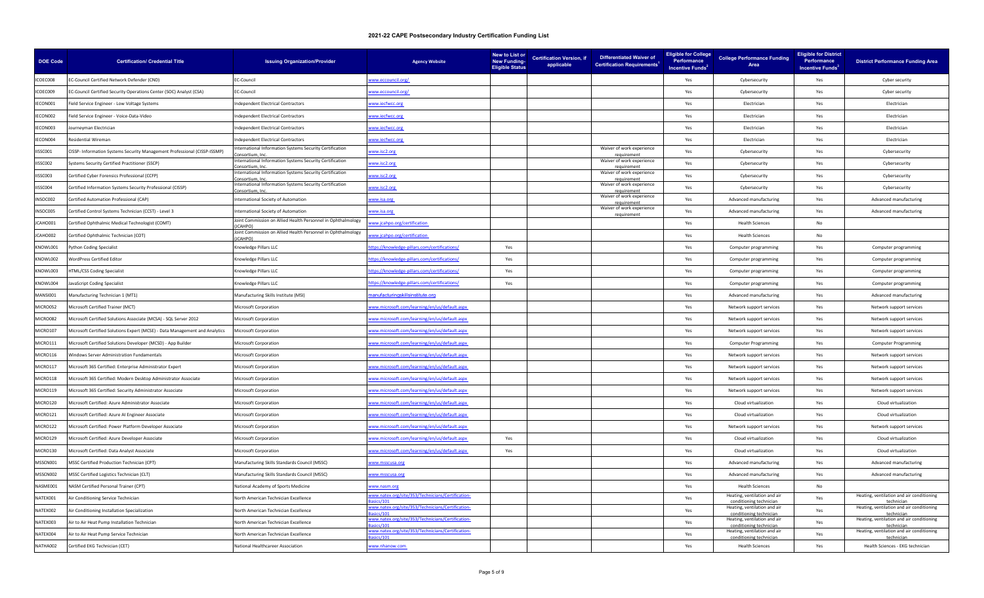| <b>DOE Code</b> | <b>Certification/ Credential Title</b>                                      | <b>Issuing Organization/Provider</b>                                                                                                                                                                                | <b>Agency Website</b>                                       | New to List or<br><b>New Funding-</b><br><b>Eligible Status</b> | <b>Certification Version, if</b><br>applicable | <b>Differentiated Waiver of</b><br><b>Certification Requirements<sup>1</sup></b> | <b>Eligible for College</b><br>Performance<br>Incentive Funds <sup>2</sup> | <b>College Performance Funding</b><br>Area              | <b>Eligible for District</b><br>Performance<br>Incentive Funds <sup>3</sup> | <b>District Performance Funding Area</b>                |
|-----------------|-----------------------------------------------------------------------------|---------------------------------------------------------------------------------------------------------------------------------------------------------------------------------------------------------------------|-------------------------------------------------------------|-----------------------------------------------------------------|------------------------------------------------|----------------------------------------------------------------------------------|----------------------------------------------------------------------------|---------------------------------------------------------|-----------------------------------------------------------------------------|---------------------------------------------------------|
| ICOEC008        | EC-Council Certified Network Defender (CND)                                 | EC-Council                                                                                                                                                                                                          | www.eccouncil.org/                                          |                                                                 |                                                |                                                                                  | Yes                                                                        | Cybersecurity                                           | Yes                                                                         | Cyber security                                          |
| ICOEC009        | EC-Council Certified Security Operations Center (SOC) Analyst (CSA)         | EC-Council                                                                                                                                                                                                          | ww.eccouncil.org/                                           |                                                                 |                                                |                                                                                  | Yes                                                                        | Cybersecurity                                           | Yes                                                                         | Cyber security                                          |
| IECON001        | Field Service Engineer - Low Voltage Systems                                | ndependent Electrical Contractors                                                                                                                                                                                   | www.iecfwcc.org                                             |                                                                 |                                                |                                                                                  | Yes                                                                        | Electrician                                             | Yes                                                                         | Electrician                                             |
| IECON002        | Field Service Engineer - Voice-Data-Video                                   | ndependent Electrical Contractors                                                                                                                                                                                   | www.iecfwcc.org                                             |                                                                 |                                                |                                                                                  | Yes                                                                        | Flectrician                                             | Yes                                                                         | Flectrician                                             |
| IECON003        | lourneyman Electrician                                                      | ndependent Electrical Contractors                                                                                                                                                                                   | ww.iecfwcc.org                                              |                                                                 |                                                |                                                                                  | Yes                                                                        | Electrician                                             | Yes                                                                         | Electrician                                             |
| ECON004         | <b>Residential Wireman</b>                                                  | ndependent Electrical Contractors                                                                                                                                                                                   | vww.iecfwcc.org                                             |                                                                 |                                                |                                                                                  | Yes                                                                        | Flectrician                                             | Yes                                                                         | Flectrician                                             |
| IISSC001        | CISSP- Information Systems Security Management Professional (CISSP-ISSMP)   | nternational Information Systems Security Certification<br>sortium In                                                                                                                                               | ww.isc2.org                                                 |                                                                 |                                                | Waiver of work experience                                                        | Yes                                                                        | Cybersecurity                                           | Yes                                                                         | Cybersecurity                                           |
| IISSC002        | Systems Security Certified Practitioner (SSCP)                              | nternational Information Systems Security Certification<br>onsortium, Inc                                                                                                                                           | ww.isc2.org                                                 |                                                                 |                                                | Waiver of work experience<br>requirement                                         | Yes                                                                        | Cybersecurity                                           | Yes                                                                         | Cybersecurity                                           |
| IISSC003        | Certified Cyber Forensics Professional (CCFP)                               | nternational Information Systems Security Certification<br>onsortium, In                                                                                                                                            | ww.isc2.org                                                 |                                                                 |                                                | Waiver of work experience                                                        | Yes                                                                        | Cybersecurity                                           | Yes                                                                         | Cybersecurity                                           |
| ISSC004         | Certified Information Systems Security Professional (CISSP)                 | nternational Information Systems Security Certification<br>onsortium, Inc                                                                                                                                           | www.isc2.org                                                |                                                                 |                                                | Waiver of work experience<br>requirement                                         | Yes                                                                        | Cybersecurity                                           | Yes                                                                         | Cybersecurity                                           |
| INSOC002        | Certified Automation Professional (CAP)                                     | nternational Society of Automation                                                                                                                                                                                  | ww.isa.org                                                  |                                                                 |                                                | Waiver of work experience<br>requiremen                                          | Yes                                                                        | Advanced manufacturing                                  | Yes                                                                         | Advanced manufacturing                                  |
| INSOC005        | Certified Control Systems Technician (CCST) - Level 3                       | nternational Society of Automation                                                                                                                                                                                  | vww.isa.org                                                 |                                                                 |                                                | Waiver of work experience<br>requirement                                         | Yes                                                                        | Advanced manufacturing                                  | Yes                                                                         | Advanced manufacturing                                  |
| JCAHO001        | Certified Ophthalmic Medical Technologist (COMT)                            | Joint Commission on Allied Health Personnel in Ophthalmology<br><b>CAHPO</b>                                                                                                                                        | ww.icahpo.org/certification                                 |                                                                 |                                                |                                                                                  | Yes                                                                        | <b>Health Sciences</b>                                  | No                                                                          |                                                         |
| JCAHO002        | Certified Ophthalmic Technician (COT)                                       | Joint Commission on Allied Health Personnel in Ophthalmology<br><b>ICAHPO</b>                                                                                                                                       | ww.jcahpo.org/certification                                 |                                                                 |                                                |                                                                                  | Yes                                                                        | <b>Health Sciences</b>                                  | No                                                                          |                                                         |
| KNOWL001        | Python Coding Specialist                                                    | <nowledge llc<="" pillars="" td=""><td>ttps://knowledge-pillars.com/certifications/</td><td>Yes</td><td></td><td></td><td>Yes</td><td>Computer programming</td><td>Yes</td><td>Computer programming</td></nowledge> | ttps://knowledge-pillars.com/certifications/                | Yes                                                             |                                                |                                                                                  | Yes                                                                        | Computer programming                                    | Yes                                                                         | Computer programming                                    |
| KNOWL002        | <b>NordPress Certified Editor</b>                                           | <b>Knowledge Pillars LLC</b>                                                                                                                                                                                        | ttps://knowledge-pillars.com/certifications/                | Yes                                                             |                                                |                                                                                  | Yes                                                                        | Computer programming                                    | Yes                                                                         | Computer programming                                    |
| KNOWI003        | <b>HTML/CSS Coding Specialist</b>                                           | <nowledge llc<="" pillars="" td=""><td>ttps://knowledge-pillars.com/certifications/</td><td>Yes</td><td></td><td></td><td>Yes</td><td>Computer programming</td><td>Yes</td><td>Computer programming</td></nowledge> | ttps://knowledge-pillars.com/certifications/                | Yes                                                             |                                                |                                                                                  | Yes                                                                        | Computer programming                                    | Yes                                                                         | Computer programming                                    |
| KNOWL004        | lavaScript Coding Specialist                                                | Inowledge Pillars LLC                                                                                                                                                                                               | ttps://knowledge-pillars.com/certifications/                | Yes                                                             |                                                |                                                                                  | Yes                                                                        | Computer programming                                    | Yes                                                                         | Computer programming                                    |
| MANSI001        | Manufacturing Technician 1 (MT1)                                            | Manufacturing Skills Institute (MSI)                                                                                                                                                                                | anufacturingskillsinstitute.org                             |                                                                 |                                                |                                                                                  | Yes                                                                        | Advanced manufacturing                                  | Yes                                                                         | Advanced manufacturing                                  |
| MICRO052        | Microsoft Certified Trainer (MCT)                                           | Microsoft Corporation                                                                                                                                                                                               | ww.microsoft.com/learning/en/us/default.aspx                |                                                                 |                                                |                                                                                  | Yes                                                                        | Network support services                                | Yes                                                                         | Network support services                                |
| MICRO082        | Microsoft Certified Solutions Associate (MCSA) - SQL Server 2012            | Microsoft Corporation                                                                                                                                                                                               | vww.microsoft.com/learning/en/us/default.aspx               |                                                                 |                                                |                                                                                  | Yes                                                                        | Network support services                                | Yes                                                                         | Network support services                                |
| MICRO107        | Microsoft Certified Solutions Expert (MCSE) - Data Management and Analytics | Microsoft Corporation                                                                                                                                                                                               | ww.microsoft.com/learning/en/us/default.aspx                |                                                                 |                                                |                                                                                  | Yes                                                                        | Network support services                                | Yes                                                                         | Network support services                                |
| MICRO111        | Microsoft Certified Solutions Developer (MCSD) - App Builder                | Microsoft Corporation                                                                                                                                                                                               | ww.microsoft.com/learning/en/us/default.aspx                |                                                                 |                                                |                                                                                  | Yes                                                                        | <b>Computer Programming</b>                             | Yes                                                                         | <b>Computer Programming</b>                             |
| MICRO116        | Windows Server Administration Fundamentals                                  | <b>Microsoft Corporation</b>                                                                                                                                                                                        | ww.microsoft.com/learning/en/us/default.aspx                |                                                                 |                                                |                                                                                  | Yes                                                                        | Network support services                                | Yes                                                                         | Network support services                                |
| MICRO117        | Microsoft 365 Certified: Enterprise Administrator Expert                    | <b>Microsoft Corporation</b>                                                                                                                                                                                        | vww.microsoft.com/learning/en/us/default.aspx               |                                                                 |                                                |                                                                                  | Yes                                                                        | Network support services                                | Yes                                                                         | Network support services                                |
| MICRO118        | Microsoft 365 Certified: Modern Desktop Administrator Associate             | Microsoft Corporation                                                                                                                                                                                               | ww.microsoft.com/learning/en/us/default.aspx                |                                                                 |                                                |                                                                                  | Yes                                                                        | Network support services                                | Yes                                                                         | Network support services                                |
| MICRO119        | Microsoft 365 Certified: Security Administrator Associate                   | Microsoft Corporation                                                                                                                                                                                               | ww.microsoft.com/learning/en/us/default.aspx                |                                                                 |                                                |                                                                                  | Yes                                                                        | Network support services                                | Yes                                                                         | Network support services                                |
| MICRO120        | Microsoft Certified: Azure Administrator Associate                          | <b>Microsoft Corporation</b>                                                                                                                                                                                        | ww.microsoft.com/learning/en/us/default.aspx                |                                                                 |                                                |                                                                                  | Yes                                                                        | Cloud virtualization                                    | Yes                                                                         | Cloud virtualization                                    |
| MICRO121        | Microsoft Certified: Azure AI Engineer Associate                            | Microsoft Corporation                                                                                                                                                                                               | ww.microsoft.com/learning/en/us/default.aspx                |                                                                 |                                                |                                                                                  | Yes                                                                        | Cloud virtualization                                    | Yes                                                                         | Cloud virtualization                                    |
| MICRO122        | Microsoft Certified: Power Platform Developer Associate                     | Microsoft Corporation                                                                                                                                                                                               | www.microsoft.com/learning/en/us/default.aspx               |                                                                 |                                                |                                                                                  | Yes                                                                        | Network support services                                | Yes                                                                         | Network support services                                |
| MICRO129        | Microsoft Certified: Azure Developer Associate                              | <b>Microsoft Corporation</b>                                                                                                                                                                                        | ww.microsoft.com/learning/en/us/default.aspx                | Yes                                                             |                                                |                                                                                  | Yes                                                                        | Cloud virtualization                                    | Yes                                                                         | Cloud virtualization                                    |
| MICRO130        | Microsoft Certified: Data Analyst Associate                                 | <b>Microsoft Corporation</b>                                                                                                                                                                                        | ww.microsoft.com/learning/en/us/default.aspx                | Yes                                                             |                                                |                                                                                  | Yes                                                                        | Cloud virtualization                                    | Yes                                                                         | Cloud virtualization                                    |
| MSSCN001        | MSSC Certified Production Technician (CPT)                                  | Manufacturing Skills Standards Council (MSSC)                                                                                                                                                                       | ww.msscusa.org                                              |                                                                 |                                                |                                                                                  | Yes                                                                        | Advanced manufacturing                                  | Yes                                                                         | Advanced manufacturing                                  |
| MSSCN002        | MSSC Certified Logistics Technician (CLT)                                   | Manufacturing Skills Standards Council (MSSC)                                                                                                                                                                       | www.msscusa.org                                             |                                                                 |                                                |                                                                                  | Yes                                                                        | Advanced manufacturing                                  | Yes                                                                         | Advanced manufacturing                                  |
| NASME001        | NASM Certified Personal Trainer (CPT)                                       | <b>National Academy of Sports Medicine</b>                                                                                                                                                                          | www.nasm.org                                                |                                                                 |                                                |                                                                                  | Yes                                                                        | <b>Health Sciences</b>                                  | No                                                                          |                                                         |
| NATEX001        | Air Conditioning Service Technician                                         | North American Technician Excellence                                                                                                                                                                                | ww.natex.org/site/353/Technicians/Certification-<br>ics/101 |                                                                 |                                                |                                                                                  | Yes                                                                        | Heating, ventilation and air<br>conditioning technician | Yes                                                                         | Heating, ventilation and air conditioning<br>technician |
| NATEX002        | Air Conditioning Installation Specialization                                | North American Technician Excellence                                                                                                                                                                                | ww.natex.org/site/353/Technicians/Certification-            |                                                                 |                                                |                                                                                  | Yes                                                                        | Heating, ventilation and air<br>conditioning techniciar | Yes                                                                         | Heating, ventilation and air conditioning<br>techniciar |
| NATEX003        | Air to Air Heat Pump Installation Technician                                | North American Technician Excellence                                                                                                                                                                                | ww.natex.org/site/353/Technicians/Certification-<br>ics/10° |                                                                 |                                                |                                                                                  | Yes                                                                        | Heating, ventilation and air<br>conditioning techniciar | Yes                                                                         | Heating, ventilation and air conditioning<br>techniciar |
| NATFX004        | Air to Air Heat Pump Service Technician                                     | North American Technician Excellence                                                                                                                                                                                | ww.natex.org/site/353/Technicians/Certification-<br>ics/101 |                                                                 |                                                |                                                                                  | Yes                                                                        | Heating, ventilation and air<br>conditioning technician | Yes                                                                         | Heating, ventilation and air conditioning<br>technician |
| NATHA002        | Certified EKG Technician (CET)                                              | National Healthcareer Association                                                                                                                                                                                   | ww.nhanow.com                                               |                                                                 |                                                |                                                                                  | Yes                                                                        | <b>Health Sciences</b>                                  | Yes                                                                         | Health Sciences - EKG technician                        |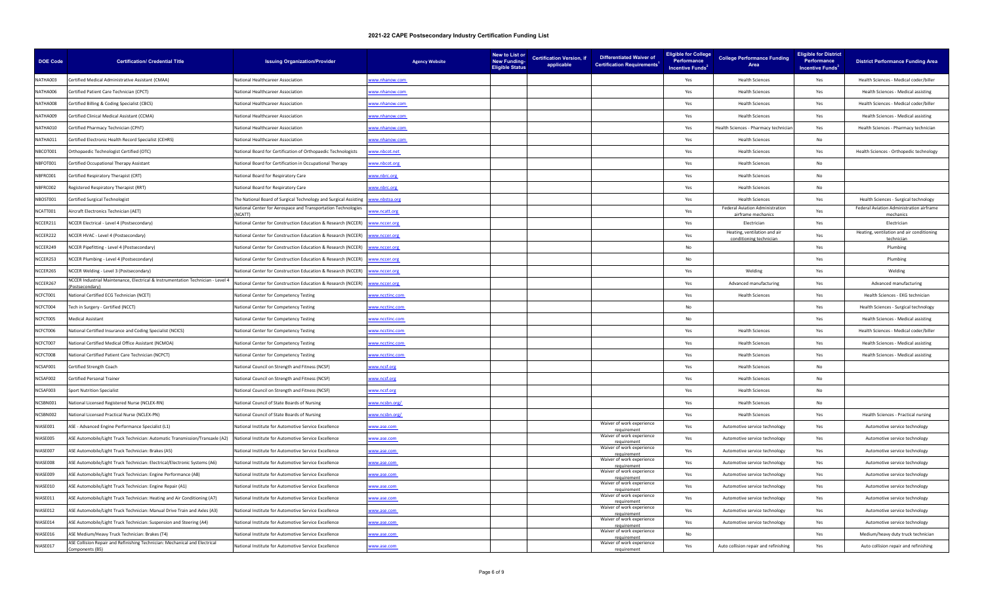| DOE Code | <b>Certification/ Credential Title</b>                                                      | <b>Issuing Organization/Provider</b>                                    | <b>Agency Website</b> | <b>New to List or</b><br><b>New Funding-</b><br><b>Eligible Status</b> | <b>Certification Version, if</b><br>applicable | <b>Differentiated Waiver of</b><br><b>Certification Requirements<sup>1</sup></b> | <b>Eligible for College</b><br>Performance<br>Incentive Funds <sup>2</sup> | <b>College Performance Funding</b><br>Area              | <b>Eligible for District</b><br>Performance<br>Incentive Funds <sup>3</sup> | <b>District Performance Funding Area</b>                |
|----------|---------------------------------------------------------------------------------------------|-------------------------------------------------------------------------|-----------------------|------------------------------------------------------------------------|------------------------------------------------|----------------------------------------------------------------------------------|----------------------------------------------------------------------------|---------------------------------------------------------|-----------------------------------------------------------------------------|---------------------------------------------------------|
| NATHA003 | Certified Medical Administrative Assistant (CMAA)                                           | National Healthcareer Association                                       | www.nhanow.com        |                                                                        |                                                |                                                                                  | Yes                                                                        | <b>Health Sciences</b>                                  | Yes                                                                         | Health Sciences - Medical coder/biller                  |
| NATHA006 | Certified Patient Care Technician (CPCT)                                                    | National Healthcareer Association                                       | ww.nhanow.com         |                                                                        |                                                |                                                                                  | Yes                                                                        | <b>Health Sciences</b>                                  | Yes                                                                         | Health Sciences - Medical assisting                     |
| NATHA008 | Certified Billing & Coding Specialist (CBCS)                                                | National Healthcareer Association                                       | vww.nhanow.com        |                                                                        |                                                |                                                                                  | Yes                                                                        | <b>Health Sciences</b>                                  | Yes                                                                         | Health Sciences - Medical coder/biller                  |
| NATHA009 | Certified Clinical Medical Assistant (CCMA)                                                 | National Healthcareer Association                                       | ww.nhanow.com         |                                                                        |                                                |                                                                                  | Yes                                                                        | <b>Health Sciences</b>                                  | Yes                                                                         | Health Sciences - Medical assisting                     |
| NATHA010 | Certified Pharmacy Technician (CPhT)                                                        | National Healthcareer Association                                       | ww.nhanow.com         |                                                                        |                                                |                                                                                  | Yes                                                                        | Health Sciences - Pharmacy techniciar                   | Yes                                                                         | Health Sciences - Pharmacy technician                   |
| NATHA011 | Certified Electronic Health Record Specialist (CEHRS)                                       | National Healthcareer Association                                       | ww.nhanow.com         |                                                                        |                                                |                                                                                  | Yes                                                                        | <b>Health Sciences</b>                                  | No                                                                          |                                                         |
| NBCOT001 | Orthopaedic Technologist Certified (OTC)                                                    | National Board for Certification of Orthopaedic Technologists           | ww.nbcot.net          |                                                                        |                                                |                                                                                  | Yes                                                                        | <b>Health Sciences</b>                                  | Yes                                                                         | Health Sciences - Orthopedic technology                 |
| NBFOT001 | Certified Occupational Therapy Assistant                                                    | National Board for Certification in Occupational Therapy                | ww.nbcot.org          |                                                                        |                                                |                                                                                  | Yes                                                                        | <b>Health Sciences</b>                                  | No                                                                          |                                                         |
| NBFRC001 | Certified Respiratory Therapist (CRT)                                                       | National Board for Respiratory Care                                     | ww.nbrc.org           |                                                                        |                                                |                                                                                  | Yes                                                                        | <b>Health Sciences</b>                                  | No                                                                          |                                                         |
| NBFRC002 | Registered Respiratory Therapist (RRT)                                                      | National Board for Respiratory Care                                     | www.nbrc.org          |                                                                        |                                                |                                                                                  | Yes                                                                        | <b>Health Sciences</b>                                  | No                                                                          |                                                         |
| NBOST001 | Certified Surgical Technologist                                                             | The National Board of Surgical Technology and Surgical Assisting        | www.nbstsa.org        |                                                                        |                                                |                                                                                  | Yes                                                                        | <b>Health Sciences</b>                                  | Yes                                                                         | Health Sciences - Surgical technology                   |
| NCATT001 | Aircraft Electronics Technician (AET)                                                       | National Center for Aerospace and Transportation Technologies<br>NCATT) | www.ncatt.org         |                                                                        |                                                |                                                                                  | Yes                                                                        | Federal Aviation Administration<br>airframe mechanics   | Yes                                                                         | Federal Aviation Administration airframe<br>mechanics   |
| NCCER211 | NCCER Electrical - Level 4 (Postsecondary)                                                  | National Center for Construction Education & Research (NCCER)           | www.nccer.org         |                                                                        |                                                |                                                                                  | Yes                                                                        | Flectrician                                             | Yes                                                                         | Electrician                                             |
| NCCER222 | NCCER HVAC - Level 4 (Postsecondary)                                                        | National Center for Construction Education & Research (NCCER)           | ww.nccer.org          |                                                                        |                                                |                                                                                  | Yes                                                                        | Heating, ventilation and air<br>conditioning technician | Yes                                                                         | Heating, ventilation and air conditioning<br>technician |
| NCCER249 | NCCER Pipefitting - Level 4 (Postsecondary)                                                 | National Center for Construction Education & Research (NCCER)           | www.nccer.org         |                                                                        |                                                |                                                                                  | No.                                                                        |                                                         | Yes                                                                         | Plumbing                                                |
| NCCER253 | NCCER Plumbing - Level 4 (Postsecondary)                                                    | National Center for Construction Education & Research (NCCER)           | ww.nccer.org          |                                                                        |                                                |                                                                                  | No                                                                         |                                                         | Yes                                                                         | Plumbing                                                |
| NCCER265 | NCCER Welding - Level 3 (Postsecondary)                                                     | National Center for Construction Education & Research (NCCER)           | www.nccer.org         |                                                                        |                                                |                                                                                  | Yes                                                                        | Welding                                                 | Yes                                                                         | Welding                                                 |
| NCCER267 | NCCER Industrial Maintenance, Electrical & Instrumentation Technician - Level 4             | National Center for Construction Education & Research (NCCER)           | ww.nccer.org          |                                                                        |                                                |                                                                                  | Yes                                                                        | Advanced manufacturing                                  | Yes                                                                         | Advanced manufacturing                                  |
| NCFCT001 | National Certified ECG Technician (NCET)                                                    | National Center for Competency Testing                                  | ww.ncctinc.com        |                                                                        |                                                |                                                                                  | Yes                                                                        | <b>Health Sciences</b>                                  | Yes                                                                         | Health Sciences - EKG technician                        |
| NCFCT004 | Fech in Surgery - Certified (NCCT)                                                          | National Center for Competency Testing                                  | ww.ncctinc.com        |                                                                        |                                                |                                                                                  | No                                                                         |                                                         | Yes                                                                         | Health Sciences - Surgical technology                   |
| NCFCT005 | Medical Assistant                                                                           | National Center for Competency Testing                                  | ww.ncctinc.com        |                                                                        |                                                |                                                                                  | No                                                                         |                                                         | Yes                                                                         | Health Sciences - Medical assisting                     |
| NCFCT006 | National Certified Insurance and Coding Specialist (NCICS)                                  | National Center for Competency Testing                                  | ww.ncctinc.com        |                                                                        |                                                |                                                                                  | Yes                                                                        | <b>Health Sciences</b>                                  | Yes                                                                         | Health Sciences - Medical coder/biller                  |
| NCFCT007 | National Certified Medical Office Assistant (NCMOA)                                         | National Center for Competency Testing                                  | ww.ncctinc.com        |                                                                        |                                                |                                                                                  | Yes                                                                        | <b>Health Sciences</b>                                  | Yes                                                                         | Health Sciences - Medical assisting                     |
| NCFCT008 | National Certified Patient Care Technician (NCPCT)                                          | National Center for Competency Testing                                  | ww.ncctinc.com        |                                                                        |                                                |                                                                                  | Yes                                                                        | <b>Health Sciences</b>                                  | Yes                                                                         | Health Sciences - Medical assisting                     |
| NCSAF001 | Certified Strength Coach                                                                    | National Council on Strength and Fitness (NCSF)                         | ww.ncsf.org           |                                                                        |                                                |                                                                                  | Yes                                                                        | <b>Health Sciences</b>                                  | N <sub>0</sub>                                                              |                                                         |
| NCSAF002 | <b>Certified Personal Trainer</b>                                                           | National Council on Strength and Fitness (NCSF)                         | ww.ncsf.org           |                                                                        |                                                |                                                                                  | Yes                                                                        | <b>Health Sciences</b>                                  | No                                                                          |                                                         |
| NCSAF003 | <b>Sport Nutrition Specialist</b>                                                           | National Council on Strength and Fitness (NCSF)                         | ww.ncsf.org           |                                                                        |                                                |                                                                                  | Yes                                                                        | <b>Health Sciences</b>                                  | No                                                                          |                                                         |
| NCSBN001 | National Licensed Registered Nurse (NCLEX-RN)                                               | National Council of State Boards of Nursing                             | ww.ncsbn.org/         |                                                                        |                                                |                                                                                  | Yes                                                                        | <b>Health Sciences</b>                                  | No                                                                          |                                                         |
| NCSBN002 | <b>National Licensed Practical Nurse (NCLEX-PN)</b>                                         | National Council of State Boards of Nursing                             | www.ncsbn.org/        |                                                                        |                                                |                                                                                  | Yes                                                                        | <b>Health Sciences</b>                                  | Yes                                                                         | Health Sciences - Practical nursing                     |
| NIASE001 | ASE - Advanced Engine Performance Specialist (L1)                                           | National Institute for Automotive Service Excellence                    | www.ase.com           |                                                                        |                                                | Waiver of work experience<br>requirement                                         | Yes                                                                        | Automotive service technology                           | Yes                                                                         | Automotive service technology                           |
| NIASE005 | ASE Automobile/Light Truck Technician: Automatic Transmission/Transaxle (A2)                | National Institute for Automotive Service Excellence                    | ww.ase.com            |                                                                        |                                                | Waiver of work experience<br>requirement                                         | Yes                                                                        | Automotive service technology                           | Yes                                                                         | Automotive service technology                           |
| NIASE007 | ASE Automobile/Light Truck Technician: Brakes (A5)                                          | National Institute for Automotive Service Excellence                    | www.ase.com           |                                                                        |                                                | Waiver of work experience<br>requirement                                         | Yes                                                                        | Automotive service technology                           | Yes                                                                         | Automotive service technology                           |
| NIASE008 | ASE Automobile/Light Truck Technician: Electrical/Electronic Systems (A6)                   | National Institute for Automotive Service Excellence                    | www.ase.com           |                                                                        |                                                | Waiver of work experience<br>requirement                                         | Yes                                                                        | Automotive service technology                           | Yes                                                                         | Automotive service technology                           |
| NIASE009 | ASE Automobile/Light Truck Technician: Engine Performance (A8)                              | National Institute for Automotive Service Excellence                    | www.ase.com           |                                                                        |                                                | Waiver of work experience<br>requirement                                         | Yes                                                                        | Automotive service technology                           | Yes                                                                         | Automotive service technology                           |
| NIASE010 | ASE Automobile/Light Truck Technician: Engine Repair (A1)                                   | National Institute for Automotive Service Excellence                    | www.ase.com           |                                                                        |                                                | Waiver of work experience<br>requirement                                         | Yes                                                                        | Automotive service technology                           | Yes                                                                         | Automotive service technology                           |
| NIASE011 | ASE Automobile/Light Truck Technician: Heating and Air Conditioning (A7)                    | National Institute for Automotive Service Excellence                    | ww.ase.com            |                                                                        |                                                | Waiver of work experience<br>requirement                                         | Yes                                                                        | Automotive service technology                           | Yes                                                                         | Automotive service technology                           |
| NIASE012 | ASE Automobile/Light Truck Technician: Manual Drive Train and Axles (A3)                    | National Institute for Automotive Service Excellence                    | ww.ase.com            |                                                                        |                                                | Waiver of work experience<br>requirement                                         | Yes                                                                        | Automotive service technology                           | Yes                                                                         | Automotive service technology                           |
| NIASE014 | ASE Automobile/Light Truck Technician: Suspension and Steering (A4)                         | National Institute for Automotive Service Excellence                    | www.ase.com           |                                                                        |                                                | Waiver of work experience                                                        | Yes                                                                        | Automotive service technology                           | Yes                                                                         | Automotive service technology                           |
| NIASE016 | ASE Medium/Heavy Truck Technician: Brakes (T4)                                              | National Institute for Automotive Service Excellence                    | www.ase.com           |                                                                        |                                                | Waiver of work experience<br>equiremen                                           | No.                                                                        |                                                         | Yes                                                                         | Medium/heavy duty truck technician                      |
| NIASE017 | ASE Collision Repair and Refinishing Technician: Mechanical and Electrical<br>mponents (B5) | National Institute for Automotive Service Excellence                    | www.ase.com           |                                                                        |                                                | Waiver of work experience<br>requirement                                         | Yes                                                                        | Auto collision repair and refinishing                   | Yes                                                                         | Auto collision repair and refinishing                   |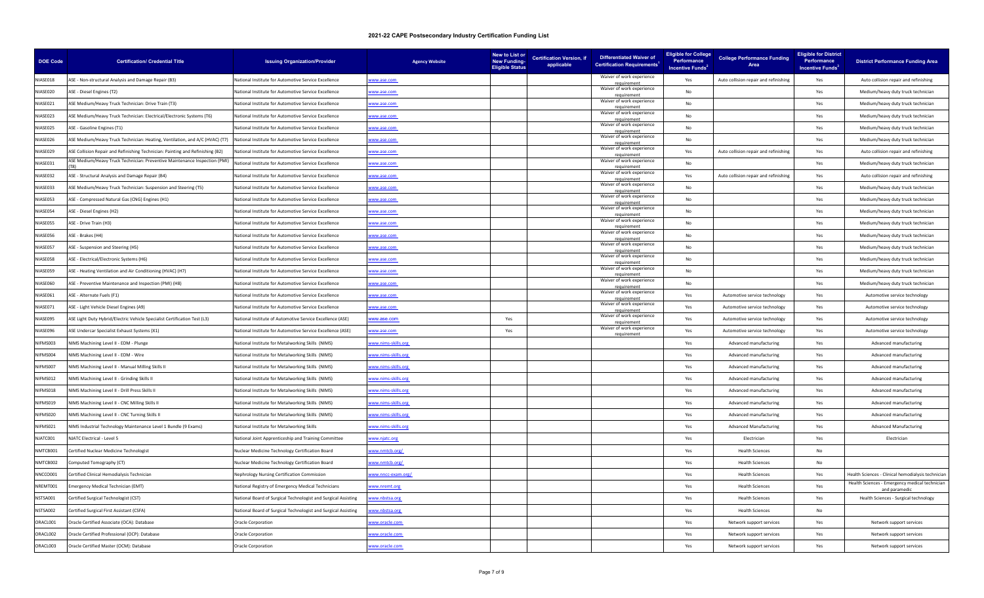| <b>DOE Code</b> | <b>Certification/ Credential Title</b>                                         | <b>Issuing Organization/Provider</b>                           | <b>Agency Website</b> | New to List or<br><b>New Funding-</b><br><b>Eligible Status</b> | <b>Certification Version, if</b><br>applicable | <b>Differentiated Waiver of</b><br><b>Certification Requirements</b> | <b>Eligible for College</b><br>Performance<br><b>Incentive Funds</b> | <b>College Performance Funding</b><br>Area | <b>Eligible for District</b><br>Performance<br>Incentive Funds <sup>3</sup> | <b>District Performance Funding Area</b>                        |
|-----------------|--------------------------------------------------------------------------------|----------------------------------------------------------------|-----------------------|-----------------------------------------------------------------|------------------------------------------------|----------------------------------------------------------------------|----------------------------------------------------------------------|--------------------------------------------|-----------------------------------------------------------------------------|-----------------------------------------------------------------|
| NIASE018        | ASE - Non-structural Analysis and Damage Repair (B3)                           | National Institute for Automotive Service Excellence           | www.ase.com           |                                                                 |                                                | Waiver of work experience<br>requirement                             | Yes                                                                  | Auto collision repair and refinishing      | Yes                                                                         | Auto collision repair and refinishing                           |
| NIASE020        | ASE - Diesel Engines (T2)                                                      | National Institute for Automotive Service Excellence           | www.ase.com           |                                                                 |                                                | Waiver of work experience<br>requiremen                              | No                                                                   |                                            | Yes                                                                         | Medium/heavy duty truck technician                              |
| NIASE021        | ASE Medium/Heavy Truck Technician: Drive Train (T3)                            | National Institute for Automotive Service Excellence           | www.ase.com           |                                                                 |                                                | Waiver of work experience<br>requirement                             | No                                                                   |                                            | Yes                                                                         | Medium/heavy duty truck technician                              |
| NIASE023        | ASE Medium/Heavy Truck Technician: Electrical/Electronic Systems (T6)          | National Institute for Automotive Service Excellence           | www.ase.com           |                                                                 |                                                | Waiver of work experience<br>requirement                             | No                                                                   |                                            | Yes                                                                         | Medium/heavy duty truck technician                              |
| NIASE025        | ASE - Gasoline Engines (T1)                                                    | National Institute for Automotive Service Excellence           | ww.ase.com            |                                                                 |                                                | Waiver of work experience<br>requirement                             | No                                                                   |                                            | Yes                                                                         | Medium/heavy duty truck technician                              |
| NIASE026        | ASE Medium/Heavy Truck Technician: Heating, Ventilation, and A/C (HVAC) (T7)   | National Institute for Automotive Service Excellence           | www.ase.com           |                                                                 |                                                | Waiver of work experience<br>requirement                             | No                                                                   |                                            | Yes                                                                         | Medium/heavy duty truck technician                              |
| NIASE029        | ASE Collision Repair and Refinishing Technician: Painting and Refinishing (B2) | National Institute for Automotive Service Excellence           | www.ase.com           |                                                                 |                                                | Waiver of work experience<br>requirement                             | Yes                                                                  | Auto collision repair and refinishing      | Yes                                                                         | Auto collision repair and refinishing                           |
| NIASE031        | ASE Medium/Heavy Truck Technician: Preventive Maintenance Inspection (PMI)     | National Institute for Automotive Service Excellence           | www.ase.com           |                                                                 |                                                | Waiver of work experience<br>requirement                             | No                                                                   |                                            | Yes                                                                         | Medium/heavy duty truck technician                              |
| NIASE032        | ASE - Structural Analysis and Damage Repair (B4)                               | National Institute for Automotive Service Excellence           | ww.ase.com            |                                                                 |                                                | Waiver of work experience                                            | Yes                                                                  | Auto collision repair and refinishing      | Yes                                                                         | Auto collision repair and refinishing                           |
| NIASE033        | ASE Medium/Heavy Truck Technician: Suspension and Steering (T5)                | National Institute for Automotive Service Excellence           | www.ase.com           |                                                                 |                                                | Waiver of work experience<br>requirement                             | No                                                                   |                                            | Yes                                                                         | Medium/heavy duty truck technician                              |
| NIASE053        | ASE - Compressed Natural Gas (CNG) Engines (H1)                                | National Institute for Automotive Service Excellence           | www.ase.com           |                                                                 |                                                | Waiver of work experience                                            | No                                                                   |                                            | Yes                                                                         | Medium/heavy duty truck technician                              |
| NIASE054        | ASE - Diesel Engines (H2)                                                      | National Institute for Automotive Service Excellence           | www.ase.com           |                                                                 |                                                | Waiver of work experience<br>requirement                             | No                                                                   |                                            | Yes                                                                         | Medium/heavy duty truck technician                              |
| NIASE055        | ASE - Drive Train (H3)                                                         | National Institute for Automotive Service Excellence           | ww.ase.com            |                                                                 |                                                | Waiver of work experience<br>requirement                             | No                                                                   |                                            | Yes                                                                         | Medium/heavy duty truck technician                              |
| NIASE056        | ASE - Brakes (H4)                                                              | National Institute for Automotive Service Excellence           | www.ase.com           |                                                                 |                                                | Waiver of work experience<br>requirement                             | No                                                                   |                                            | Yes                                                                         | Medium/heavy duty truck technician                              |
| NIASE057        | ASE - Suspension and Steering (H5)                                             | National Institute for Automotive Service Excellence           | www.ase.com           |                                                                 |                                                | Waiver of work experience<br>requirement                             | No                                                                   |                                            | Yes                                                                         | Medium/heavy duty truck technician                              |
| NIASE058        | ASE - Electrical/Electronic Systems (H6)                                       | National Institute for Automotive Service Excellence           | www.ase.com           |                                                                 |                                                | Waiver of work experience<br>requirement                             | No                                                                   |                                            | Yes                                                                         | Medium/heavy duty truck technician                              |
| NIASE059        | ASE - Heating Ventilation and Air Conditioning (HVAC) (H7)                     | National Institute for Automotive Service Excellence           | www.ase.com           |                                                                 |                                                | Waiver of work experience<br>requirement                             | No                                                                   |                                            | Yes                                                                         | Medium/heavy duty truck technician                              |
| NIASE060        | ASE - Preventive Maintenance and Inspection (PMI) (H8)                         | National Institute for Automotive Service Excellence           | ww.ase.com            |                                                                 |                                                | Waiver of work experience<br>requirement                             | No                                                                   |                                            | Yes                                                                         | Medium/heavy duty truck technician                              |
| NIASE061        | ASE - Alternate Fuels (F1)                                                     | National Institute for Automotive Service Excellence           | ww.ase.com            |                                                                 |                                                | Waiver of work experience<br>requirement                             | Yes                                                                  | Automotive service technology              | Yes                                                                         | Automotive service technology                                   |
| NIASE071        | ASE - Light Vehicle Diesel Engines (A9)                                        | National Institute for Automotive Service Excellence           | ww.ase.com            |                                                                 |                                                | Waiver of work experience                                            | Yes                                                                  | Automotive service technology              | Yes                                                                         | Automotive service technology                                   |
| NIASE095        | ASE Light Duty Hybrid/Electric Vehicle Specialist Certification Test (L3)      | National Institute of Automotive Service Excellence (ASE)      | ww.ase.com            | Yes                                                             |                                                | Waiver of work experience<br>requirement                             | Yes                                                                  | Automotive service technology              | Yes                                                                         | Automotive service technology                                   |
| NIASE096        | ASE Undercar Specialist Exhaust Systems (X1)                                   | National Institute for Automotive Service Excellence (ASE)     | ww.ase.com            | Yes                                                             |                                                | Waiver of work experience<br>requirement                             | Yes                                                                  | Automotive service technology              | Yes                                                                         | Automotive service technology                                   |
| NIFMS003        | NIMS Machining Level II - EDM - Plunge                                         | National Institute for Metalworking Skills (NIMS)              | www.nims-skills.org   |                                                                 |                                                |                                                                      | Yes                                                                  | Advanced manufacturing                     | Yes                                                                         | Advanced manufacturing                                          |
| NIFMS004        | NIMS Machining Level II - EDM - Wire                                           | National Institute for Metalworking Skills (NIMS)              | ww.nims-skills.org    |                                                                 |                                                |                                                                      | Yes                                                                  | Advanced manufacturing                     | Yes                                                                         | Advanced manufacturing                                          |
| NIFMS007        | NIMS Machining Level II - Manual Milling Skills II                             | National Institute for Metalworking Skills (NIMS)              | www.nims-skills.org   |                                                                 |                                                |                                                                      | Yes                                                                  | Advanced manufacturing                     | Yes                                                                         | Advanced manufacturing                                          |
| NIFMS012        | NIMS Machining Level II - Grinding Skills II                                   | National Institute for Metalworking Skills (NIMS)              | www.nims-skills.org   |                                                                 |                                                |                                                                      | Yes                                                                  | Advanced manufacturing                     | Yes                                                                         | Advanced manufacturing                                          |
| NIFMS018        | NIMS Machining Level II - Drill Press Skills II                                | National Institute for Metalworking Skills (NIMS)              | ww.nims-skills.org    |                                                                 |                                                |                                                                      | Yes                                                                  | Advanced manufacturing                     | Yes                                                                         | Advanced manufacturing                                          |
| NIFMS019        | NIMS Machining Level II - CNC Milling Skills II                                | National Institute for Metalworking Skills (NIMS)              | ww.nims-skills.org    |                                                                 |                                                |                                                                      | Yes                                                                  | Advanced manufacturing                     | Yes                                                                         | Advanced manufacturing                                          |
| NIFMS020        | NIMS Machining Level II - CNC Turning Skills II                                | National Institute for Metalworking Skills (NIMS)              | ww.nims-skills.org    |                                                                 |                                                |                                                                      | Yes                                                                  | Advanced manufacturing                     | Yes                                                                         | Advanced manufacturing                                          |
| NIFMS021        | NIMS Industrial Technology Maintenance Level 1 Bundle (9 Exams)                | National Institute for Metalworking Skills                     | www.nims-skills.org   |                                                                 |                                                |                                                                      | Yes                                                                  | <b>Advanced Manufacturing</b>              | Yes                                                                         | <b>Advanced Manufacturing</b>                                   |
| NJATC001        | NJATC Electrical - Level 5                                                     | National Joint Apprenticeship and Training Committee           | ww.njatc.org          |                                                                 |                                                |                                                                      | Yes                                                                  | Electrician                                | Yes                                                                         | Electrician                                                     |
| NMTCB001        | Certified Nuclear Medicine Technologist                                        | Nuclear Medicine Technology Certification Board                | ww.nmtcb.org/         |                                                                 |                                                |                                                                      | Yes                                                                  | <b>Health Sciences</b>                     | No                                                                          |                                                                 |
| NMTCB002        | Computed Tomography (CT)                                                       | Nuclear Medicine Technology Certification Board                | ww.nmtcb.org/         |                                                                 |                                                |                                                                      | Yes                                                                  | <b>Health Sciences</b>                     | No                                                                          |                                                                 |
| NNCCO001        | Certified Clinical Hemodialysis Technician                                     | Nephrology Nursing Certification Commission                    | www.nncc-exam.org/    |                                                                 |                                                |                                                                      | Yes                                                                  | <b>Health Sciences</b>                     | Yes                                                                         | Health Sciences - Clinical hemodialysis technician              |
| NRFMT001        | <b>Emergency Medical Technician (EMT)</b>                                      | National Registry of Emergency Medical Technicians             | ww.nremt.org          |                                                                 |                                                |                                                                      | Yes                                                                  | <b>Health Sciences</b>                     | Yes                                                                         | Health Sciences - Emergency medical technician<br>and paramedic |
| NSTSA001        | Certified Surgical Technologist (CST)                                          | National Board of Surgical Technologist and Surgical Assisting | ww.nbstsa.org         |                                                                 |                                                |                                                                      | Yes                                                                  | <b>Health Sciences</b>                     | Yes                                                                         | Health Sciences - Surgical technology                           |
| NSTSA002        | Certified Surgical First Assistant (CSFA)                                      | National Board of Surgical Technologist and Surgical Assisting | ww.nbstsa.org         |                                                                 |                                                |                                                                      | Yes                                                                  | <b>Health Sciences</b>                     | No                                                                          |                                                                 |
| ORACL001        | Oracle Certified Associate (OCA): Database                                     | Oracle Corporation                                             | ww.oracle.com         |                                                                 |                                                |                                                                      | Yes                                                                  | Network support services                   | Yes                                                                         | Network support services                                        |
| ORACL002        | Oracle Certified Professional (OCP): Database                                  | Oracle Corporation                                             | ww.oracle.com         |                                                                 |                                                |                                                                      | Yes                                                                  | Network support services                   | Yes                                                                         | Network support services                                        |
| ORACL003        | Oracle Certified Master (OCM): Database                                        | <b>Oracle Corporation</b>                                      | ww.oracle.com         |                                                                 |                                                |                                                                      | Yes                                                                  | Network support services                   | Yes                                                                         | Network support services                                        |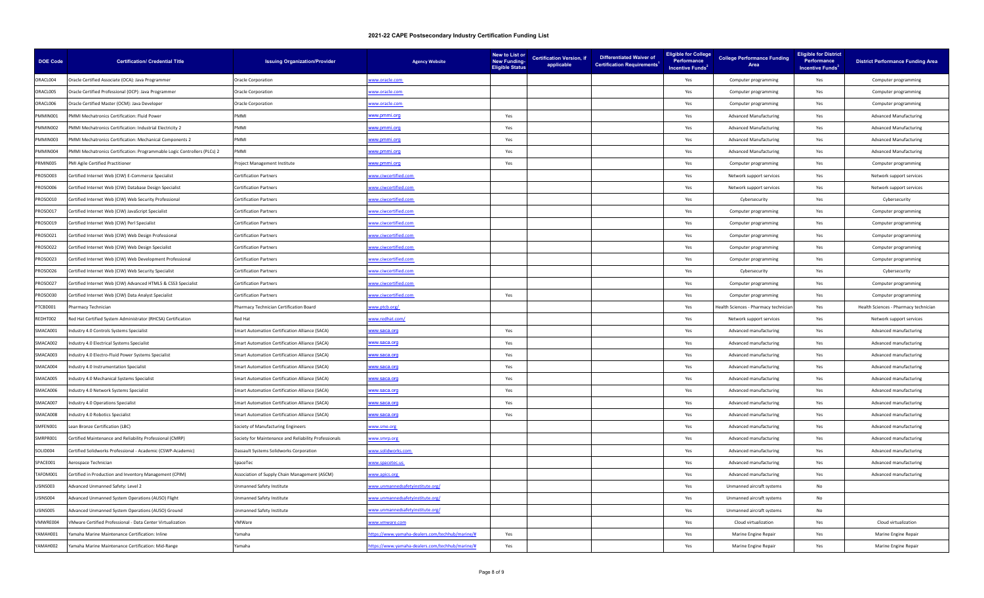| DOE Code | <b>Certification/ Credential Title</b>                                   | <b>Issuing Organization/Provider</b>                  | <b>Agency Website</b>                          | New to List or<br><b>New Funding-</b><br><b>Eligible Status</b> | applicable | Certification Version, if Differentiated Waiver of<br><b>Certification Requirements</b> | <b>Eligible for College</b><br>Performance<br>Incentive Funds <sup>2</sup> | <b>College Performance Funding</b><br>Area | <b>Eligible for District</b><br>Performance<br>Incentive Funds <sup>3</sup> | <b>District Performance Funding Area</b> |
|----------|--------------------------------------------------------------------------|-------------------------------------------------------|------------------------------------------------|-----------------------------------------------------------------|------------|-----------------------------------------------------------------------------------------|----------------------------------------------------------------------------|--------------------------------------------|-----------------------------------------------------------------------------|------------------------------------------|
| ORACL004 | Oracle Certified Associate (OCA): Java Programmer                        | <b>Oracle Corporation</b>                             | ww.oracle.com                                  |                                                                 |            |                                                                                         | Yes                                                                        | Computer programming                       | Yes                                                                         | Computer programming                     |
| ORACL005 | Oracle Certified Professional (OCP): Java Programmer                     | Oracle Corporation                                    | www.oracle.com                                 |                                                                 |            |                                                                                         | Yes                                                                        | Computer programming                       | Yes                                                                         | Computer programming                     |
| ORACL006 | Oracle Certified Master (OCM): Java Developer                            | <b>Oracle Corporation</b>                             | www.oracle.com                                 |                                                                 |            |                                                                                         | Yes                                                                        | Computer programming                       | Yes                                                                         | Computer programming                     |
| PMMIN001 | PMMI Mechatronics Certification: Fluid Power                             | <b>IMM</b>                                            | ww.pmmi.org                                    | Yes                                                             |            |                                                                                         | Yes                                                                        | <b>Advanced Manufacturing</b>              | Yes                                                                         | <b>Advanced Manufacturing</b>            |
| PMMIN002 | PMMI Mechatronics Certification: Industrial Electricity 2                | PMMI                                                  | ww.pmmi.org                                    | Yes                                                             |            |                                                                                         | Yes                                                                        | <b>Advanced Manufacturing</b>              | Yes                                                                         | <b>Advanced Manufacturing</b>            |
| PMMIN003 | PMMI Mechatronics Certification: Mechanical Components 2                 | PMMI                                                  | ww.pmmi.org                                    | Yes                                                             |            |                                                                                         | Yes                                                                        | <b>Advanced Manufacturing</b>              | Yes                                                                         | <b>Advanced Manufacturing</b>            |
| PMMIN004 | PMMI Mechatronics Certification: Programmable Logic Controllers (PLCs) 2 | <b>PMMI</b>                                           | <u>ww.pmmi.org</u>                             | Yes                                                             |            |                                                                                         | Yes                                                                        | <b>Advanced Manufacturing</b>              | Yes                                                                         | <b>Advanced Manufacturing</b>            |
| PRMIN005 | PMI Agile Certified Practitioner                                         | Project Management Institute                          | <u>/ww.pmmi.org</u>                            | Yes                                                             |            |                                                                                         | Yes                                                                        | Computer programming                       | Yes                                                                         | Computer programming                     |
| PROSO003 | Certified Internet Web (CIW) E-Commerce Specialist                       | <b>Certification Partners</b>                         | ww.ciwcertified.com                            |                                                                 |            |                                                                                         | Yes                                                                        | Network support services                   | Yes                                                                         | Network support services                 |
| PROSO006 | Certified Internet Web (CIW) Database Design Specialist                  | <b>Certification Partners</b>                         | www.ciwcertified.com                           |                                                                 |            |                                                                                         | Yes                                                                        | Network support services                   | Yes                                                                         | Network support services                 |
| ROSO010  | Certified Internet Web (CIW) Web Security Professional                   | <b>Certification Partners</b>                         | ww.ciwcertified.com                            |                                                                 |            |                                                                                         | Yes                                                                        | Cybersecurity                              | Yes                                                                         | Cybersecurity                            |
| PROSO017 | Certified Internet Web (CIW) JavaScript Specialist                       | <b>Certification Partners</b>                         | www.ciwcertified.com                           |                                                                 |            |                                                                                         | Yes                                                                        | Computer programming                       | Yes                                                                         | Computer programming                     |
| ROSO019  | Certified Internet Web (CIW) Perl Specialist                             | Certification Partners                                | www.ciwcertified.com                           |                                                                 |            |                                                                                         | Yes                                                                        | Computer programming                       | Yes                                                                         | Computer programming                     |
| PROSO021 | Certified Internet Web (CIW) Web Design Professional                     | <b>Certification Partners</b>                         | ww.ciwcertified.com                            |                                                                 |            |                                                                                         | Yes                                                                        | Computer programming                       | Yes                                                                         | Computer programming                     |
| ROSO022  | Certified Internet Web (CIW) Web Design Specialist                       | <b>Certification Partners</b>                         | www.ciwcertified.com                           |                                                                 |            |                                                                                         | Yes                                                                        | Computer programming                       | Yes                                                                         | Computer programming                     |
| PROSO023 | Certified Internet Web (CIW) Web Development Professional                | <b>Certification Partners</b>                         | www.ciwcertified.com                           |                                                                 |            |                                                                                         | Yes                                                                        | Computer programming                       | Yes                                                                         | Computer programming                     |
| PROSO026 | Certified Internet Web (CIW) Web Security Specialist                     | <b>Certification Partners</b>                         | ww.ciwcertified.com                            |                                                                 |            |                                                                                         | Yes                                                                        | Cybersecurity                              | Yes                                                                         | Cybersecurity                            |
| PROSO027 | Certified Internet Web (CIW) Advanced HTML5 & CSS3 Specialist            | <b>Certification Partners</b>                         | ww.ciwcertified.com                            |                                                                 |            |                                                                                         | Yes                                                                        | Computer programming                       | Yes                                                                         | Computer programming                     |
| PROSO030 | Certified Internet Web (CIW) Data Analyst Specialist                     | <b>Certification Partners</b>                         | ww.ciwcertified.com                            | Yes                                                             |            |                                                                                         | Yes                                                                        | Computer programming                       | Yes                                                                         | Computer programming                     |
| PTCBD001 | Pharmacy Technician                                                      | Pharmacy Technician Certification Board               | ww.ptcb.org/                                   |                                                                 |            |                                                                                         | Yes                                                                        | Health Sciences - Pharmacy technicial      | Yes                                                                         | Health Sciences - Pharmacy technician    |
| REDHT002 | Red Hat Certified System Administrator (RHCSA) Certification             | Red Hat                                               | ww.redhat.com/                                 |                                                                 |            |                                                                                         | Yes                                                                        | Network support services                   | Yes                                                                         | Network support services                 |
| SMACA001 | ndustry 4.0 Controls Systems Specialist                                  | mart Automation Certification Alliance (SACA)         | ww.saca.org                                    | Yes                                                             |            |                                                                                         | Yes                                                                        | Advanced manufacturing                     | Yes                                                                         | Advanced manufacturing                   |
| SMACA002 | ndustry 4.0 Electrical Systems Specialist                                | Smart Automation Certification Alliance (SACA)        | ww.saca.org                                    | Yes                                                             |            |                                                                                         | Yes                                                                        | Advanced manufacturing                     | Yes                                                                         | Advanced manufacturing                   |
| SMACA003 | ndustry 4.0 Electro-Fluid Power Systems Specialist                       | Smart Automation Certification Alliance (SACA)        | ww.saca.org                                    | Yes                                                             |            |                                                                                         | Yes                                                                        | Advanced manufacturing                     | Yes                                                                         | Advanced manufacturing                   |
| SMACA004 | ndustry 4.0 Instrumentation Specialist                                   | Smart Automation Certification Alliance (SACA)        | www.saca.org                                   | Yes                                                             |            |                                                                                         | Yes                                                                        | Advanced manufacturing                     | Yes                                                                         | Advanced manufacturing                   |
| SMACA005 | ndustry 4.0 Mechanical Systems Specialist                                | Smart Automation Certification Alliance (SACA)        | ww.saca.org                                    | Yes                                                             |            |                                                                                         | Yes                                                                        | Advanced manufacturing                     | Yes                                                                         | Advanced manufacturing                   |
| SMACA006 | ndustry 4.0 Network Systems Specialist                                   | Smart Automation Certification Alliance (SACA)        | ww.saca.org                                    | Yes                                                             |            |                                                                                         | Yes                                                                        | Advanced manufacturing                     | Yes                                                                         | Advanced manufacturing                   |
| SMACA007 | ndustry 4.0 Operations Specialist                                        | Smart Automation Certification Alliance (SACA)        | ww.saca.org                                    | Yes                                                             |            |                                                                                         | Yes                                                                        | Advanced manufacturing                     | Yes                                                                         | Advanced manufacturing                   |
| SMACA008 | ndustry 4.0 Robotics Specialist                                          | Smart Automation Certification Alliance (SACA)        | ww.saca.org                                    | Yes                                                             |            |                                                                                         | Yes                                                                        | Advanced manufacturing                     | Yes                                                                         | Advanced manufacturing                   |
| SMFEN001 | Lean Bronze Certification (LBC)                                          | Society of Manufacturing Engineers                    | www.sme.org                                    |                                                                 |            |                                                                                         | Yes                                                                        | Advanced manufacturing                     | Yes                                                                         | Advanced manufacturing                   |
| SMRPR001 | Certified Maintenance and Reliability Professional (CMRP)                | Society for Maintenance and Reliability Professionals | ww.smrp.org                                    |                                                                 |            |                                                                                         | Yes                                                                        | Advanced manufacturing                     | Yes                                                                         | Advanced manufacturing                   |
| SOLID004 | Certified Solidworks Professional - Academic (CSWP-Academic)             | Dassault Systems Solidworks Corporation               | www.solidworks.com                             |                                                                 |            |                                                                                         | Yes                                                                        | Advanced manufacturing                     | Yes                                                                         | Advanced manufacturing                   |
| SPACE001 | Aerospace Technician                                                     | SpaceTec                                              | www.spacetec.us                                |                                                                 |            |                                                                                         | Yes                                                                        | Advanced manufacturing                     | Yes                                                                         | Advanced manufacturing                   |
| TAFOM001 | Certified in Production and Inventory Management (CPIM)                  | Association of Supply Chain Management (ASCM)         | www.apics.org                                  |                                                                 |            |                                                                                         | Yes                                                                        | Advanced manufacturing                     | Yes                                                                         | Advanced manufacturing                   |
| USINS003 | Advanced Unmanned Safety: Level 2                                        | Jnmanned Safety Institute                             | ww.unmannedsafetyinstitute.org/                |                                                                 |            |                                                                                         | Yes                                                                        | Unmanned aircraft systems                  | No                                                                          |                                          |
| USINS004 | Advanced Unmanned System Operations (AUSO) Flight                        | <b>Jnmanned Safety Institute</b>                      | ww.unmannedsafetyinstitute.org/                |                                                                 |            |                                                                                         | Yes                                                                        | Unmanned aircraft systems                  | No                                                                          |                                          |
| USINS005 | Advanced Unmanned System Operations (AUSO) Ground                        | Unmanned Safety Institute                             | www.unmannedsafetyinstitute.org/               |                                                                 |            |                                                                                         | Yes                                                                        | Unmanned aircraft systems                  | No                                                                          |                                          |
| VMWRE004 | VMware Certified Professional - Data Center Virtualization               | VMWare                                                | ww.vmware.com                                  |                                                                 |            |                                                                                         | Yes                                                                        | Cloud virtualization                       | Yes                                                                         | Cloud virtualization                     |
| YAMAH001 | Yamaha Marine Maintenance Certification: Inline                          | Yamaha                                                | ttps://www.yamaha-dealers.com/techhub/marine/# | Yes                                                             |            |                                                                                         | Yes                                                                        | Marine Engine Repair                       | Yes                                                                         | Marine Engine Repair                     |
| YAMAH002 | Yamaha Marine Maintenance Certification: Mid-Range                       | 'amaha                                                | ttps://www.yamaha-dealers.com/techhub/marine/# | Yes                                                             |            |                                                                                         | Yes                                                                        | Marine Engine Repair                       | Yes                                                                         | Marine Engine Repair                     |